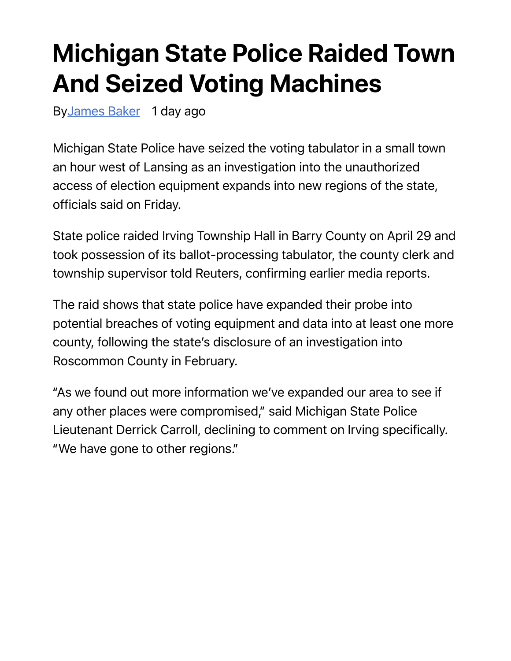## Michigan State Police Raided Town And Seized Voting Machines

ByJames Baker 1 day ago

Michigan State Police have seized the voting tabulator in a small town an hour west of Lansing as an investigation into the unauthorized access of election equipment expands into new regions of the state, officials said on Friday.

State police raided Irving Township Hall in Barry County on April 29 and took possession of its ballot-processing tabulator, the county clerk and township supervisor told Reuters, confirming earlier media reports.

The raid shows that state police have expanded their probe into potential breaches of voting equipment and data into at least one more county, following the state's disclosure of an investigation into Roscommon County in February.

"As we found out more information we've expanded our area to see if any other places were compromised," said Michigan State Police Lieutenant Derrick Carroll, declining to comment on Irving specifically. "We have gone to other regions."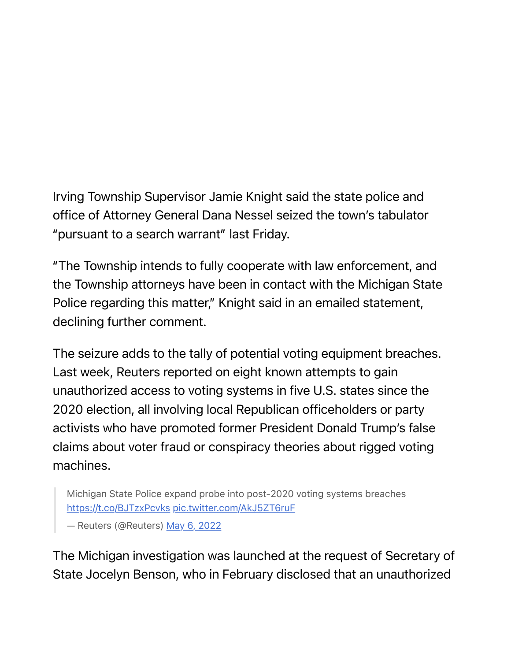## Irving Township Supervisor Jamie Knight said the state police and office of Attorney General Dana Nessel seized the town's tabulator "pursuant to a search warrant" last Friday.

"The Township intends to fully cooperate with law enforcement, and the Township attorneys have been in contact with the Michigan State Police regarding this matter," Knight said in an emailed statement, declining further comment.

The seizure adds to the tally of potential voting equipment breaches. Last week, Reuters reported on eight known attempts to gain unauthorized access to voting systems in five U.S. states since the 2020 election, all involving local Republican officeholders or party activists who have promoted former President Donald Trump's false claims about voter fraud or conspiracy theories about rigged voting machines.

Michigan State Police expand probe into post-2020 voting systems breaches https://t.co/BJTzxPcvks pic.twitter.com/AkJ5ZT6ruF

— Reuters (@Reuters) May 6, 2022

The Michigan investigation was launched at the request of Secretary of State Jocelyn Benson, who in February disclosed that an unauthorized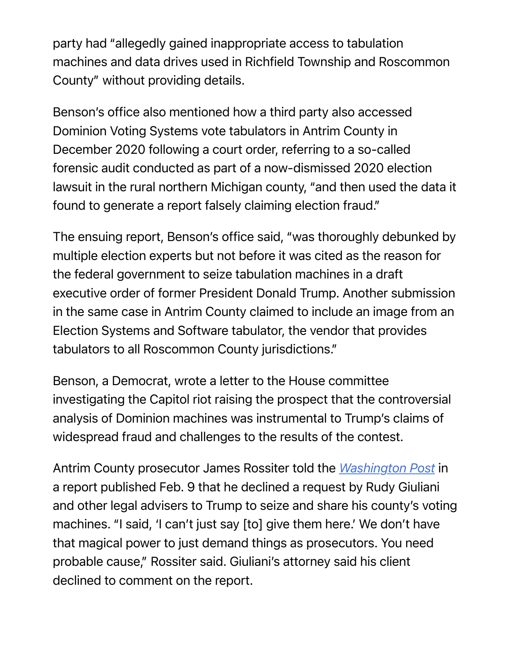party had "allegedly gained inappropriate access to tabulation machines and data drives used in Richfield Township and Roscommon County" without providing details.

Benson's office also mentioned how a third party also accessed Dominion Voting Systems vote tabulators in Antrim County in December 2020 following a court order, referring to a so-called forensic audit conducted as part of a now-dismissed 2020 election lawsuit in the rural northern Michigan county, "and then used the data it found to generate a report falsely claiming election fraud."

The ensuing report, Benson's office said, "was thoroughly debunked by multiple election experts but not before it was cited as the reason for the federal government to seize tabulation machines in a draft executive order of former President Donald Trump. Another submission in the same case in Antrim County claimed to include an image from an Election Systems and Software tabulator, the vendor that provides tabulators to all Roscommon County jurisdictions."

Benson, a Democrat, wrote a letter to the House committee investigating the Capitol riot raising the prospect that the controversial analysis of Dominion machines was instrumental to Trump's claims of widespread fraud and challenges to the results of the contest.

Antrim County prosecutor James Rossiter told the *Washington Post* in a report published Feb. 9 that he declined a request by Rudy Giuliani and other legal advisers to Trump to seize and share his county's voting machines. "I said, 'I can't just say [to] give them here.' We don't have that magical power to just demand things as prosecutors. You need probable cause," Rossiter said. Giuliani's attorney said his client declined to comment on the report.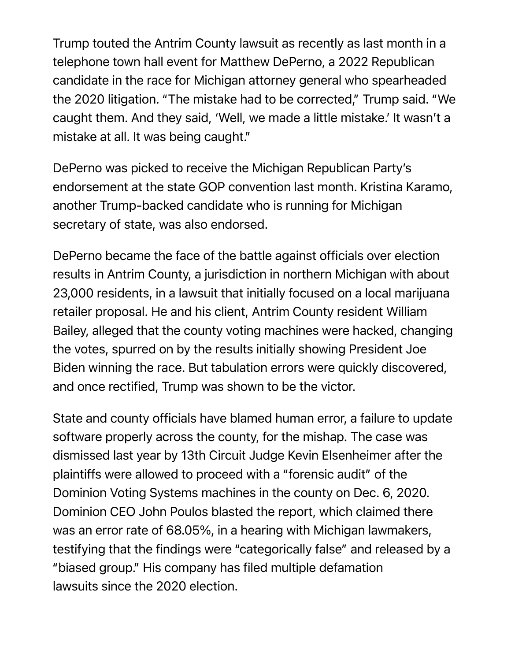Trump touted the Antrim County lawsuit as recently as last month in a telephone town hall event for Matthew DePerno, a 2022 Republican candidate in the race for Michigan attorney general who spearheaded the 2020 litigation. "The mistake had to be corrected," Trump said. "We caught them. And they said, 'Well, we made a little mistake.' It wasn't a mistake at all. It was being caught."

DePerno was picked to receive the Michigan Republican Party's endorsement at the state GOP convention last month. Kristina Karamo, another Trump-backed candidate who is running for Michigan secretary of state, was also endorsed.

DePerno became the face of the battle against officials over election results in Antrim County, a jurisdiction in northern Michigan with about 23,000 residents, in a lawsuit that initially focused on a local marijuana retailer proposal. He and his client, Antrim County resident William Bailey, alleged that the county voting machines were hacked, changing the votes, spurred on by the results initially showing President Joe Biden winning the race. But tabulation errors were quickly discovered, and once rectified, Trump was shown to be the victor.

State and county officials have blamed human error, a failure to update software properly across the county, for the mishap. The case was dismissed last year by 13th Circuit Judge Kevin Elsenheimer after the plaintiffs were allowed to proceed with a "forensic audit" of the Dominion Voting Systems machines in the county on Dec. 6, 2020. Dominion CEO John Poulos blasted the report, which claimed there was an error rate of 68.05%, in a hearing with Michigan lawmakers, testifying that the findings were "categorically false" and released by a "biased group." His company has filed multiple defamation lawsuits since the 2020 election.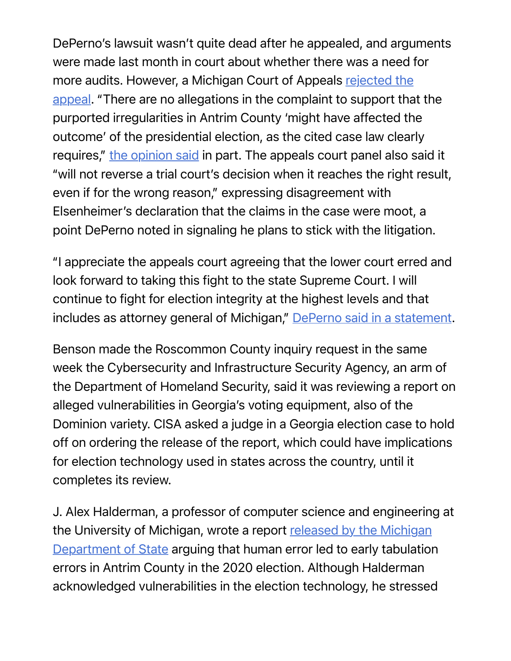DePerno's lawsuit wasn't quite dead after he appealed, and arguments were made last month in court about whether there was a need for more audits. However, a Michigan Court of Appeals rejected the appeal. "There are no allegations in the complaint to support that the purported irregularities in Antrim County 'might have affected the outcome' of the presidential election, as the cited case law clearly requires," the opinion said in part. The appeals court panel also said it "will not reverse a trial court's decision when it reaches the right result, even if for the wrong reason," expressing disagreement with Elsenheimer's declaration that the claims in the case were moot, a point DePerno noted in signaling he plans to stick with the litigation.

"I appreciate the appeals court agreeing that the lower court erred and look forward to taking this fight to the state Supreme Court. I will continue to fight for election integrity at the highest levels and that includes as attorney general of Michigan," DePerno said in a statement.

Benson made the Roscommon County inquiry request in the same week the Cybersecurity and Infrastructure Security Agency, an arm of the Department of Homeland Security, said it was reviewing a report on alleged vulnerabilities in Georgia's voting equipment, also of the Dominion variety. CISA asked a judge in a Georgia election case to hold off on ordering the release of the report, which could have implications for election technology used in states across the country, until it completes its review.

J. Alex Halderman, a professor of computer science and engineering at the University of Michigan, wrote a report released by the Michigan Department of State arguing that human error led to early tabulation errors in Antrim County in the 2020 election. Although Halderman acknowledged vulnerabilities in the election technology, he stressed